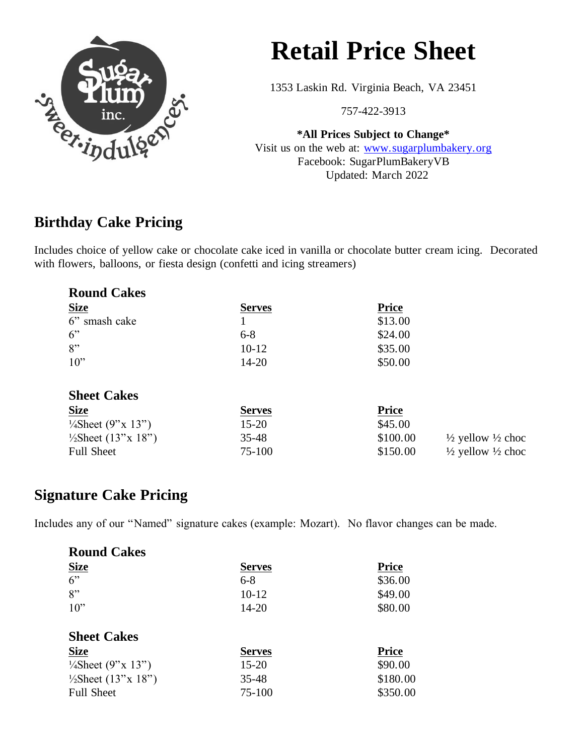

# **Retail Price Sheet**

1353 Laskin Rd. Virginia Beach, VA 23451

757-422-3913

**\*All Prices Subject to Change\*** Visit us on the web at: [www.sugarplumbakery.org](http://www.sugarplumbakery.org/) Facebook: SugarPlumBakeryVB Updated: March 2022

### **Birthday Cake Pricing**

Includes choice of yellow cake or chocolate cake iced in vanilla or chocolate butter cream icing. Decorated with flowers, balloons, or fiesta design (confetti and icing streamers)

| <b>Round Cakes</b>             |               |              |                                         |
|--------------------------------|---------------|--------------|-----------------------------------------|
| <b>Size</b>                    | <b>Serves</b> | <b>Price</b> |                                         |
| 6" smash cake                  |               | \$13.00      |                                         |
| 6"                             | $6 - 8$       | \$24.00      |                                         |
| 8"                             | $10-12$       | \$35.00      |                                         |
| $10$ "                         | $14 - 20$     | \$50.00      |                                         |
|                                |               |              |                                         |
| <b>Sheet Cakes</b>             |               |              |                                         |
| <b>Size</b>                    | <b>Serves</b> | <b>Price</b> |                                         |
| $\frac{1}{4}$ Sheet (9"x 13")  | $15 - 20$     | \$45.00      |                                         |
| $\frac{1}{2}$ Sheet (13"x 18") | $35 - 48$     | \$100.00     | $\frac{1}{2}$ yellow $\frac{1}{2}$ choc |
| <b>Full Sheet</b>              | 75-100        | \$150.00     | $\frac{1}{2}$ yellow $\frac{1}{2}$ choc |

#### **Signature Cake Pricing**

Includes any of our "Named" signature cakes (example: Mozart). No flavor changes can be made.

| <b>Round Cakes</b>             |               |              |
|--------------------------------|---------------|--------------|
| <b>Size</b>                    | <b>Serves</b> | <b>Price</b> |
| 6"                             | $6 - 8$       | \$36.00      |
| 8"                             | $10-12$       | \$49.00      |
| 10"                            | 14-20         | \$80.00      |
| <b>Sheet Cakes</b>             |               |              |
|                                |               |              |
| <b>Size</b>                    | <b>Serves</b> | <b>Price</b> |
| $\frac{1}{4}$ Sheet (9"x 13")  | $15 - 20$     | \$90.00      |
| $\frac{1}{2}$ Sheet (13"x 18") | 35-48         | \$180.00     |
| <b>Full Sheet</b>              | 75-100        | \$350.00     |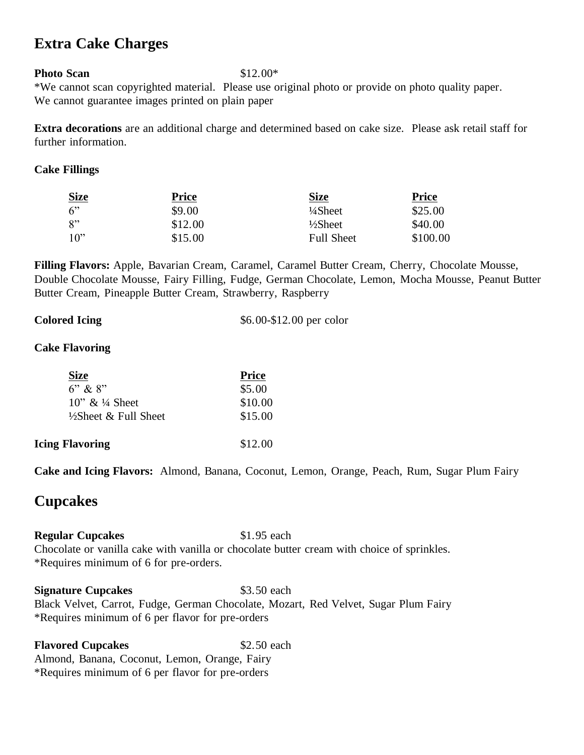#### **Extra Cake Charges**

#### **Photo Scan** \$12.00\*

\*We cannot scan copyrighted material. Please use original photo or provide on photo quality paper. We cannot guarantee images printed on plain paper

**Extra decorations** are an additional charge and determined based on cake size. Please ask retail staff for further information.

#### **Cake Fillings**

| <b>Size</b>       | <b>Price</b> | <b>Size</b>         | <b>Price</b> |
|-------------------|--------------|---------------------|--------------|
| 6                 | \$9.00       | $\frac{1}{4}$ Sheet | \$25.00      |
| $R$ <sup>22</sup> | \$12.00      | $\frac{1}{2}$ Sheet | \$40.00      |
| $10^{2}$          | \$15.00      | <b>Full Sheet</b>   | \$100.00     |

**Filling Flavors:** Apple, Bavarian Cream, Caramel, Caramel Butter Cream, Cherry, Chocolate Mousse, Double Chocolate Mousse, Fairy Filling, Fudge, German Chocolate, Lemon, Mocha Mousse, Peanut Butter Butter Cream, Pineapple Butter Cream, Strawberry, Raspberry

| <b>Colored Icing</b> | \$6.00-\$12.00 per color |  |
|----------------------|--------------------------|--|
|                      |                          |  |

#### **Cake Flavoring**

| \$5.00  |
|---------|
| \$10.00 |
| \$15.00 |
| \$12.00 |
|         |

**Cake and Icing Flavors:** Almond, Banana, Coconut, Lemon, Orange, Peach, Rum, Sugar Plum Fairy

#### **Cupcakes**

**Regular Cupcakes** \$1.95 each

Chocolate or vanilla cake with vanilla or chocolate butter cream with choice of sprinkles. \*Requires minimum of 6 for pre-orders.

**Signature Cupcakes** \$3.50 each Black Velvet, Carrot, Fudge, German Chocolate, Mozart, Red Velvet, Sugar Plum Fairy \*Requires minimum of 6 per flavor for pre-orders

**Flavored Cupcakes** \$2.50 each Almond, Banana, Coconut, Lemon, Orange, Fairy \*Requires minimum of 6 per flavor for pre-orders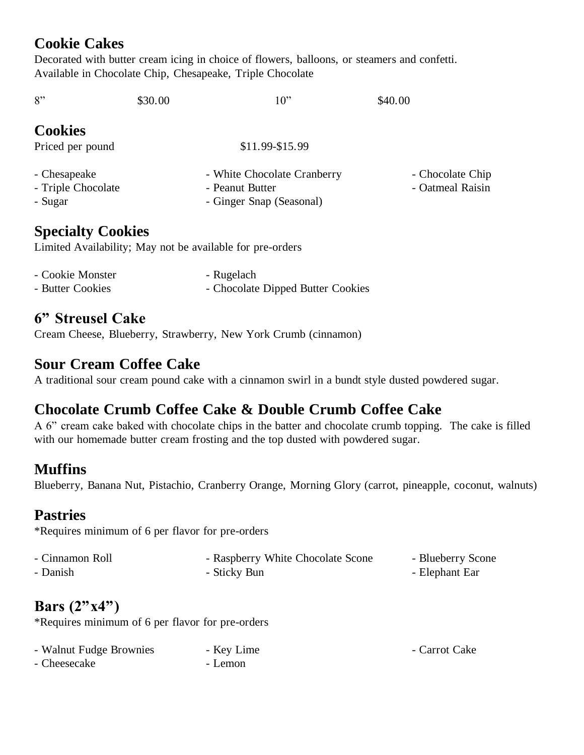### **Cookie Cakes**

Decorated with butter cream icing in choice of flowers, balloons, or steamers and confetti. Available in Chocolate Chip, Chesapeake, Triple Chocolate

| 8"                 | \$30.00 | 10"                         | \$40.00          |
|--------------------|---------|-----------------------------|------------------|
| <b>Cookies</b>     |         |                             |                  |
| Priced per pound   |         | \$11.99-\$15.99             |                  |
| - Chesapeake       |         | - White Chocolate Cranberry | - Chocolate Chip |
| - Triple Chocolate |         | - Peanut Butter             | - Oatmeal Raisin |
| - Sugar            |         | - Ginger Snap (Seasonal)    |                  |

#### **Specialty Cookies**

Limited Availability; May not be available for pre-orders

| - Cookie Monster | - Rugelach                        |
|------------------|-----------------------------------|
| - Butter Cookies | - Chocolate Dipped Butter Cookies |

# **6" Streusel Cake**

Cream Cheese, Blueberry, Strawberry, New York Crumb (cinnamon)

#### **Sour Cream Coffee Cake**

A traditional sour cream pound cake with a cinnamon swirl in a bundt style dusted powdered sugar.

# **Chocolate Crumb Coffee Cake & Double Crumb Coffee Cake**

A 6" cream cake baked with chocolate chips in the batter and chocolate crumb topping. The cake is filled with our homemade butter cream frosting and the top dusted with powdered sugar.

#### **Muffins**

Blueberry, Banana Nut, Pistachio, Cranberry Orange, Morning Glory (carrot, pineapple, coconut, walnuts)

#### **Pastries**

\*Requires minimum of 6 per flavor for pre-orders

| - Cinnamon Roll | - Raspberry White Chocolate Scone | - Blueberry Scone |
|-----------------|-----------------------------------|-------------------|
| - Danish        | - Sticky Bun                      | - Elephant Ear    |

# **Bars (2"x4")**

\*Requires minimum of 6 per flavor for pre-orders

| - Walnut Fudge Brownies | - Key Lime | - Carrot Cake |
|-------------------------|------------|---------------|
| - Cheesecake            | - Lemon    |               |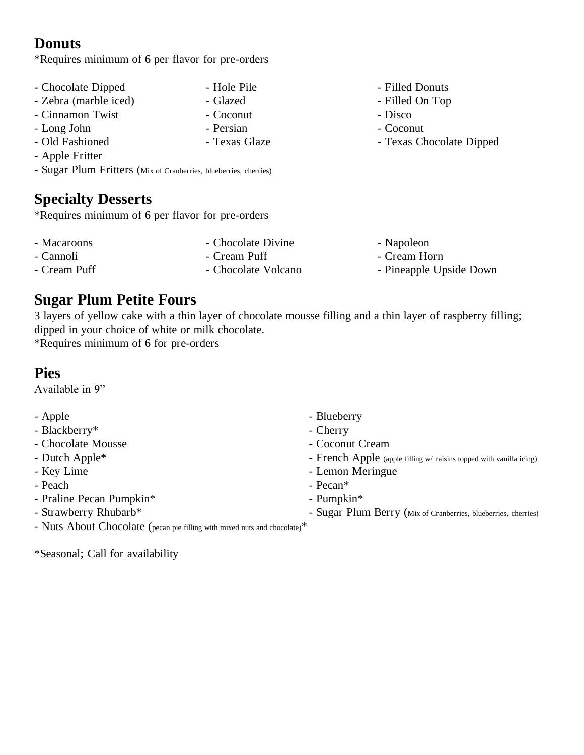### **Donuts**

\*Requires minimum of 6 per flavor for pre-orders

- Chocolate Dipped Hole Pile Filled Donuts
- Zebra (marble iced) Glazed Filled On Top
- Cinnamon Twist Coconut Disco
- Long John Persian Coconut
- 
- Apple Fritter
- Sugar Plum Fritters (Mix of Cranberries, blueberries, cherries)

### **Specialty Desserts**

\*Requires minimum of 6 per flavor for pre-orders

- 
- 
- 
- 
- 
- 
- 
- 
- 
- Old Fashioned Texas Glaze Texas Chocolate Dipped

- 
- 
- Cream Puff Chocolate Volcano Pineapple Upside Down

### **Sugar Plum Petite Fours**

3 layers of yellow cake with a thin layer of chocolate mousse filling and a thin layer of raspberry filling; dipped in your choice of white or milk chocolate.

\*Requires minimum of 6 for pre-orders

### **Pies**

Available in 9"

- Apple  **Apple** Blueberry
- Blackberry\* extended to the cherry of the Cherry
- Chocolate Mousse  **Coconut Cream**
- 
- 
- 
- Praline Pecan Pumpkin\* Pumpkin\* Pumpkin\*
- 
- 
- 
- Dutch Apple<sup>\*</sup> French Apple (apple filling w/ raisins topped with vanilla icing)
- Key Lime Lemon Meringue
- Peach Pecan\*
	-
- Strawberry Rhubarb\* Sugar Plum Berry (Mix of Cranberries, blueberries, cherries)
- Nuts About Chocolate (pecan pie filling with mixed nuts and chocolate)\*

\*Seasonal; Call for availability

- Macaroons Chocolate Divine Napoleon - Cannoli - Cream Puff - Cream Horn
	-
-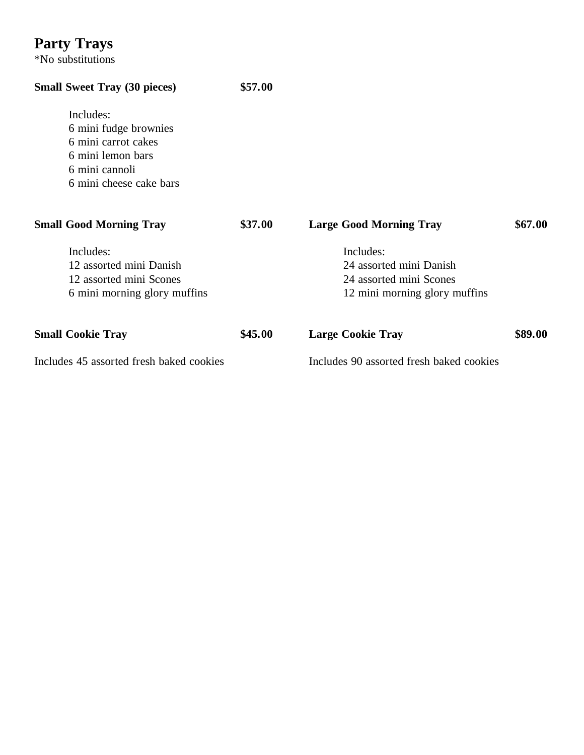# **Party Trays**

\*No substitutions

# **Small Sweet Tray (30 pieces) \$57.00**

Includes: 6 mini fudge brownies 6 mini carrot cakes 6 mini lemon bars 6 mini cannoli 6 mini cheese cake bars

| <b>Small Good Morning Tray</b>                                                                  | \$37.00 | <b>Large Good Morning Tray</b>                                                                   | \$67.00 |
|-------------------------------------------------------------------------------------------------|---------|--------------------------------------------------------------------------------------------------|---------|
| Includes:<br>12 assorted mini Danish<br>12 assorted mini Scones<br>6 mini morning glory muffins |         | Includes:<br>24 assorted mini Danish<br>24 assorted mini Scones<br>12 mini morning glory muffins |         |
| <b>Small Cookie Tray</b>                                                                        | \$45.00 | <b>Large Cookie Tray</b>                                                                         | \$89.00 |
| Includes 45 assorted fresh baked cookies                                                        |         | Includes 90 assorted fresh baked cookies                                                         |         |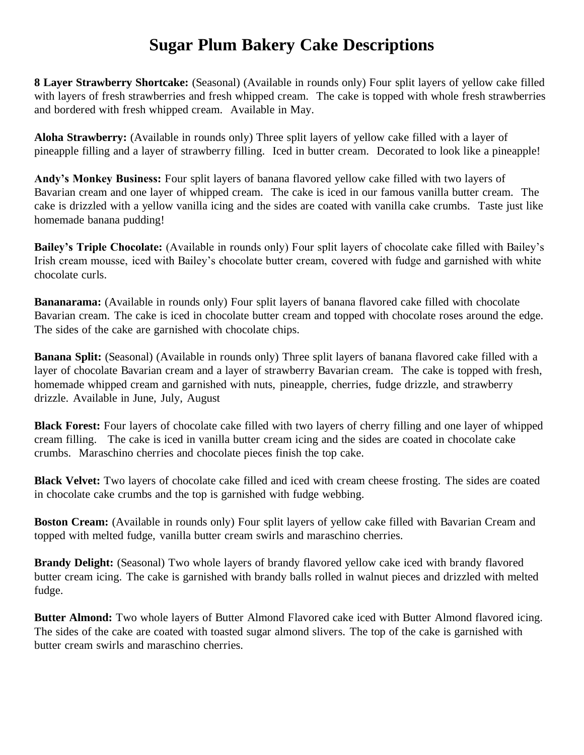# **Sugar Plum Bakery Cake Descriptions**

**8 Layer Strawberry Shortcake:** (Seasonal) (Available in rounds only) Four split layers of yellow cake filled with layers of fresh strawberries and fresh whipped cream. The cake is topped with whole fresh strawberries and bordered with fresh whipped cream. Available in May.

**Aloha Strawberry:** (Available in rounds only) Three split layers of yellow cake filled with a layer of pineapple filling and a layer of strawberry filling. Iced in butter cream. Decorated to look like a pineapple!

**Andy's Monkey Business:** Four split layers of banana flavored yellow cake filled with two layers of Bavarian cream and one layer of whipped cream. The cake is iced in our famous vanilla butter cream. The cake is drizzled with a yellow vanilla icing and the sides are coated with vanilla cake crumbs. Taste just like homemade banana pudding!

**Bailey's Triple Chocolate:** (Available in rounds only) Four split layers of chocolate cake filled with Bailey's Irish cream mousse, iced with Bailey's chocolate butter cream, covered with fudge and garnished with white chocolate curls.

**Bananarama:** (Available in rounds only) Four split layers of banana flavored cake filled with chocolate Bavarian cream. The cake is iced in chocolate butter cream and topped with chocolate roses around the edge. The sides of the cake are garnished with chocolate chips.

**Banana Split:** (Seasonal) (Available in rounds only) Three split layers of banana flavored cake filled with a layer of chocolate Bavarian cream and a layer of strawberry Bavarian cream. The cake is topped with fresh, homemade whipped cream and garnished with nuts, pineapple, cherries, fudge drizzle, and strawberry drizzle. Available in June, July, August

**Black Forest:** Four layers of chocolate cake filled with two layers of cherry filling and one layer of whipped cream filling. The cake is iced in vanilla butter cream icing and the sides are coated in chocolate cake crumbs. Maraschino cherries and chocolate pieces finish the top cake.

**Black Velvet:** Two layers of chocolate cake filled and iced with cream cheese frosting. The sides are coated in chocolate cake crumbs and the top is garnished with fudge webbing.

**Boston Cream:** (Available in rounds only) Four split layers of yellow cake filled with Bavarian Cream and topped with melted fudge, vanilla butter cream swirls and maraschino cherries.

**Brandy Delight:** (Seasonal) Two whole layers of brandy flavored yellow cake iced with brandy flavored butter cream icing. The cake is garnished with brandy balls rolled in walnut pieces and drizzled with melted fudge.

**Butter Almond:** Two whole layers of Butter Almond Flavored cake iced with Butter Almond flavored icing. The sides of the cake are coated with toasted sugar almond slivers. The top of the cake is garnished with butter cream swirls and maraschino cherries.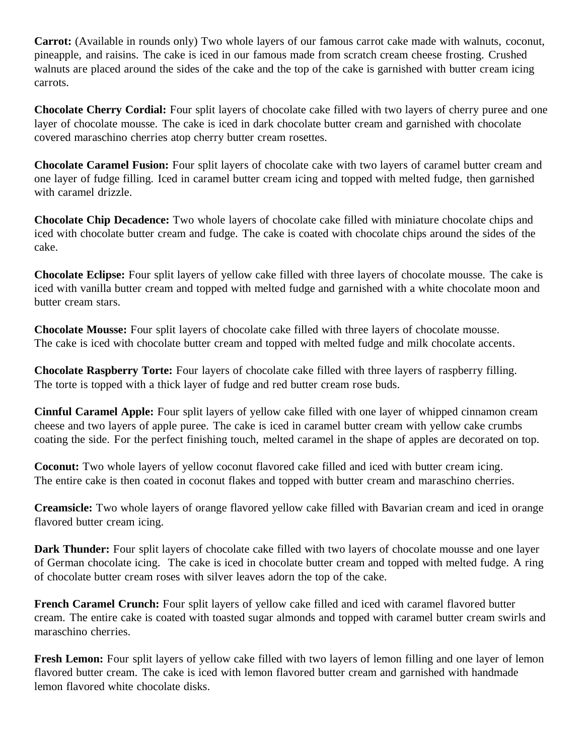**Carrot:** (Available in rounds only) Two whole layers of our famous carrot cake made with walnuts, coconut, pineapple, and raisins. The cake is iced in our famous made from scratch cream cheese frosting. Crushed walnuts are placed around the sides of the cake and the top of the cake is garnished with butter cream icing carrots.

**Chocolate Cherry Cordial:** Four split layers of chocolate cake filled with two layers of cherry puree and one layer of chocolate mousse. The cake is iced in dark chocolate butter cream and garnished with chocolate covered maraschino cherries atop cherry butter cream rosettes.

**Chocolate Caramel Fusion:** Four split layers of chocolate cake with two layers of caramel butter cream and one layer of fudge filling. Iced in caramel butter cream icing and topped with melted fudge, then garnished with caramel drizzle.

**Chocolate Chip Decadence:** Two whole layers of chocolate cake filled with miniature chocolate chips and iced with chocolate butter cream and fudge. The cake is coated with chocolate chips around the sides of the cake.

**Chocolate Eclipse:** Four split layers of yellow cake filled with three layers of chocolate mousse. The cake is iced with vanilla butter cream and topped with melted fudge and garnished with a white chocolate moon and butter cream stars.

**Chocolate Mousse:** Four split layers of chocolate cake filled with three layers of chocolate mousse. The cake is iced with chocolate butter cream and topped with melted fudge and milk chocolate accents.

**Chocolate Raspberry Torte:** Four layers of chocolate cake filled with three layers of raspberry filling. The torte is topped with a thick layer of fudge and red butter cream rose buds.

**Cinnful Caramel Apple:** Four split layers of yellow cake filled with one layer of whipped cinnamon cream cheese and two layers of apple puree. The cake is iced in caramel butter cream with yellow cake crumbs coating the side. For the perfect finishing touch, melted caramel in the shape of apples are decorated on top.

**Coconut:** Two whole layers of yellow coconut flavored cake filled and iced with butter cream icing. The entire cake is then coated in coconut flakes and topped with butter cream and maraschino cherries.

**Creamsicle:** Two whole layers of orange flavored yellow cake filled with Bavarian cream and iced in orange flavored butter cream icing.

**Dark Thunder:** Four split layers of chocolate cake filled with two layers of chocolate mousse and one layer of German chocolate icing. The cake is iced in chocolate butter cream and topped with melted fudge. A ring of chocolate butter cream roses with silver leaves adorn the top of the cake.

**French Caramel Crunch:** Four split layers of yellow cake filled and iced with caramel flavored butter cream. The entire cake is coated with toasted sugar almonds and topped with caramel butter cream swirls and maraschino cherries.

**Fresh Lemon:** Four split layers of yellow cake filled with two layers of lemon filling and one layer of lemon flavored butter cream. The cake is iced with lemon flavored butter cream and garnished with handmade lemon flavored white chocolate disks.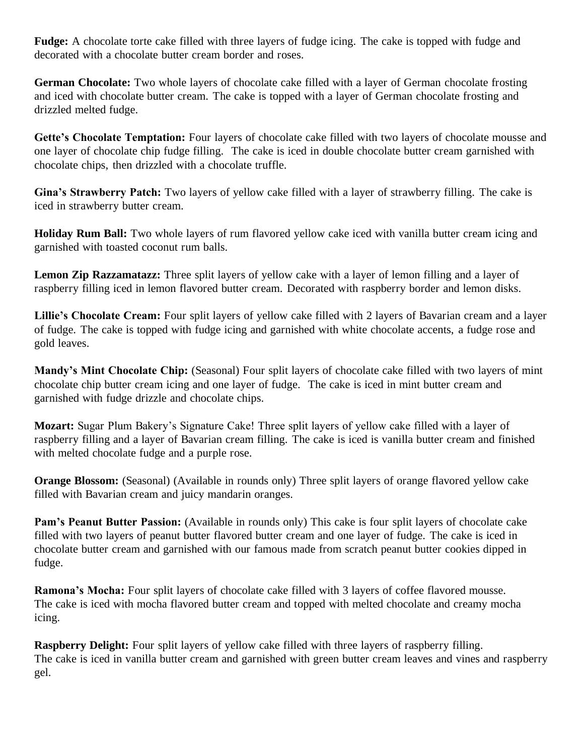**Fudge:** A chocolate torte cake filled with three layers of fudge icing. The cake is topped with fudge and decorated with a chocolate butter cream border and roses.

**German Chocolate:** Two whole layers of chocolate cake filled with a layer of German chocolate frosting and iced with chocolate butter cream. The cake is topped with a layer of German chocolate frosting and drizzled melted fudge.

**Gette's Chocolate Temptation:** Four layers of chocolate cake filled with two layers of chocolate mousse and one layer of chocolate chip fudge filling. The cake is iced in double chocolate butter cream garnished with chocolate chips, then drizzled with a chocolate truffle.

**Gina's Strawberry Patch:** Two layers of yellow cake filled with a layer of strawberry filling. The cake is iced in strawberry butter cream.

**Holiday Rum Ball:** Two whole layers of rum flavored yellow cake iced with vanilla butter cream icing and garnished with toasted coconut rum balls.

**Lemon Zip Razzamatazz:** Three split layers of yellow cake with a layer of lemon filling and a layer of raspberry filling iced in lemon flavored butter cream. Decorated with raspberry border and lemon disks.

**Lillie's Chocolate Cream:** Four split layers of yellow cake filled with 2 layers of Bavarian cream and a layer of fudge. The cake is topped with fudge icing and garnished with white chocolate accents, a fudge rose and gold leaves.

**Mandy's Mint Chocolate Chip:** (Seasonal) Four split layers of chocolate cake filled with two layers of mint chocolate chip butter cream icing and one layer of fudge. The cake is iced in mint butter cream and garnished with fudge drizzle and chocolate chips.

**Mozart:** Sugar Plum Bakery's Signature Cake! Three split layers of yellow cake filled with a layer of raspberry filling and a layer of Bavarian cream filling. The cake is iced is vanilla butter cream and finished with melted chocolate fudge and a purple rose.

**Orange Blossom:** (Seasonal) (Available in rounds only) Three split layers of orange flavored yellow cake filled with Bavarian cream and juicy mandarin oranges.

**Pam's Peanut Butter Passion:** (Available in rounds only) This cake is four split layers of chocolate cake filled with two layers of peanut butter flavored butter cream and one layer of fudge. The cake is iced in chocolate butter cream and garnished with our famous made from scratch peanut butter cookies dipped in fudge.

**Ramona's Mocha:** Four split layers of chocolate cake filled with 3 layers of coffee flavored mousse. The cake is iced with mocha flavored butter cream and topped with melted chocolate and creamy mocha icing.

**Raspberry Delight:** Four split layers of yellow cake filled with three layers of raspberry filling. The cake is iced in vanilla butter cream and garnished with green butter cream leaves and vines and raspberry gel.